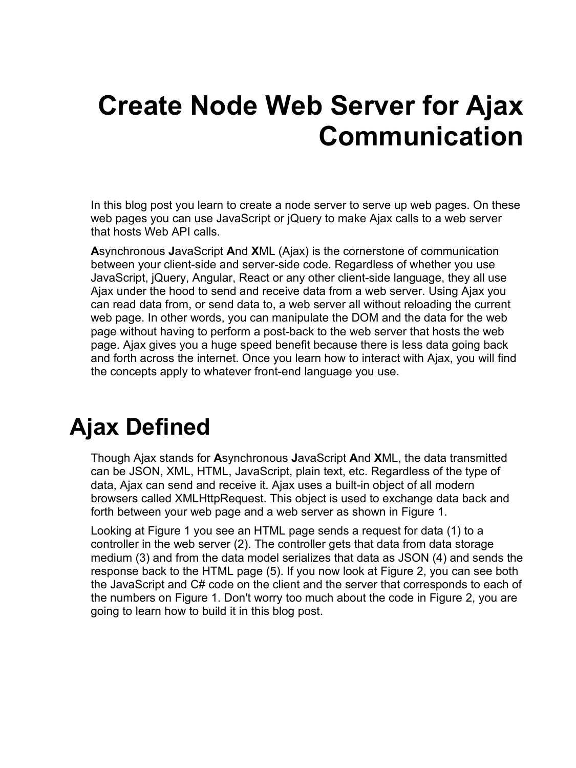# **Create Node Web Server for Ajax Communication**

In this blog post you learn to create a node server to serve up web pages. On these web pages you can use JavaScript or jQuery to make Ajax calls to a web server that hosts Web API calls.

**A**synchronous **J**avaScript **A**nd **X**ML (Ajax) is the cornerstone of communication between your client-side and server-side code. Regardless of whether you use JavaScript, jQuery, Angular, React or any other client-side language, they all use Ajax under the hood to send and receive data from a web server. Using Ajax you can read data from, or send data to, a web server all without reloading the current web page. In other words, you can manipulate the DOM and the data for the web page without having to perform a post-back to the web server that hosts the web page. Ajax gives you a huge speed benefit because there is less data going back and forth across the internet. Once you learn how to interact with Ajax, you will find the concepts apply to whatever front-end language you use.

## **Ajax Defined**

Though Ajax stands for **A**synchronous **J**avaScript **A**nd **X**ML, the data transmitted can be JSON, XML, HTML, JavaScript, plain text, etc. Regardless of the type of data, Ajax can send and receive it. Ajax uses a built-in object of all modern browsers called XMLHttpRequest. This object is used to exchange data back and forth between your web page and a web server as shown in [Figure 1.](#page-1-0)

Looking at [Figure 1](#page-1-0) you see an HTML page sends a request for data (1) to a controller in the web server (2). The controller gets that data from data storage medium (3) and from the data model serializes that data as JSON (4) and sends the response back to the HTML page (5). If you now look at [Figure 2,](#page-1-1) you can see both the JavaScript and C# code on the client and the server that corresponds to each of the numbers on [Figure 1.](#page-1-0) Don't worry too much about the code in [Figure 2,](#page-1-1) you are going to learn how to build it in this blog post.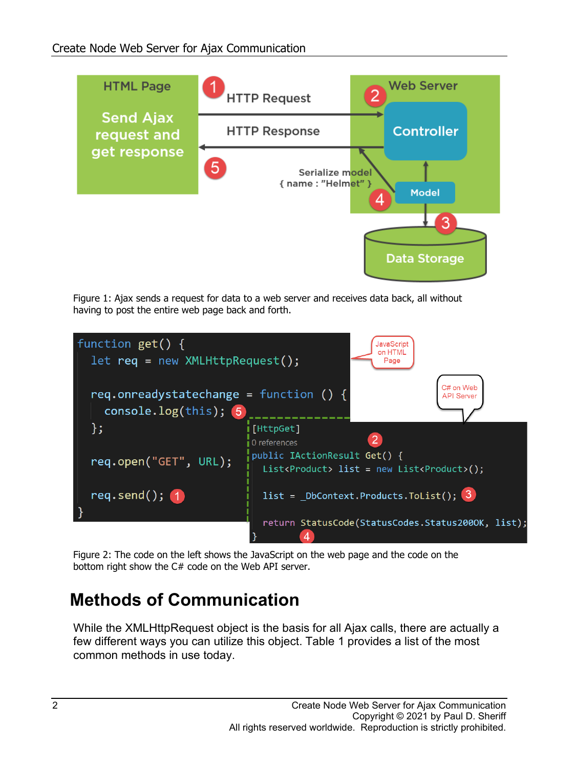

<span id="page-1-0"></span>Figure 1: Ajax sends a request for data to a web server and receives data back, all without having to post the entire web page back and forth.



<span id="page-1-1"></span>Figure 2: The code on the left shows the JavaScript on the web page and the code on the bottom right show the C# code on the Web API server.

#### **Methods of Communication**

While the XMLHttpRequest object is the basis for all Ajax calls, there are actually a few different ways you can utilize this object. [Table 1](#page-2-0) provides a list of the most common methods in use today.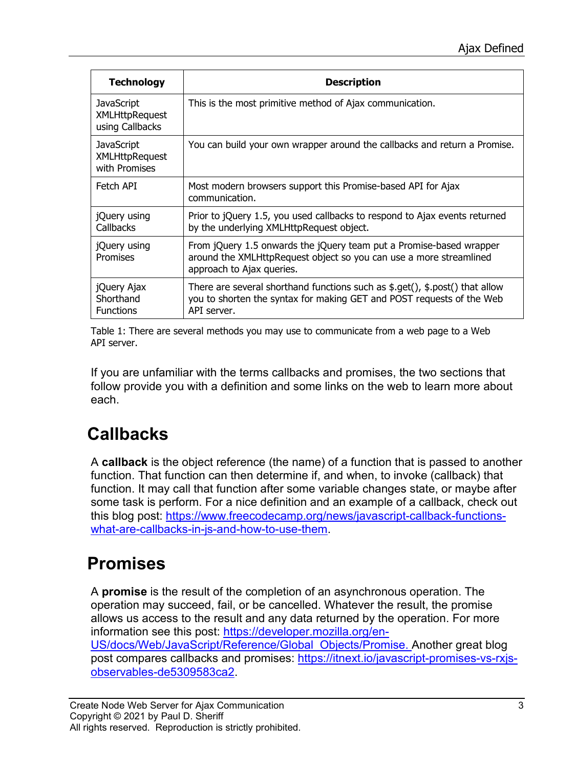| <b>Technology</b>                                             | <b>Description</b>                                                                                                                                                     |
|---------------------------------------------------------------|------------------------------------------------------------------------------------------------------------------------------------------------------------------------|
| <b>JavaScript</b><br><b>XMLHttpRequest</b><br>using Callbacks | This is the most primitive method of Ajax communication.                                                                                                               |
| <b>JavaScript</b><br><b>XMLHttpRequest</b><br>with Promises   | You can build your own wrapper around the callbacks and return a Promise.                                                                                              |
| Fetch API                                                     | Most modern browsers support this Promise-based API for Ajax<br>communication.                                                                                         |
| jQuery using<br><b>Callbacks</b>                              | Prior to jQuery 1.5, you used callbacks to respond to Ajax events returned<br>by the underlying XMLHttpRequest object.                                                 |
| jQuery using<br>Promises                                      | From jQuery 1.5 onwards the jQuery team put a Promise-based wrapper<br>around the XMLHttpRequest object so you can use a more streamlined<br>approach to Ajax queries. |
| jQuery Ajax<br>Shorthand<br><b>Functions</b>                  | There are several shorthand functions such as \$.get(), \$.post() that allow<br>you to shorten the syntax for making GET and POST requests of the Web<br>API server.   |

<span id="page-2-0"></span>Table 1: There are several methods you may use to communicate from a web page to a Web API server.

If you are unfamiliar with the terms callbacks and promises, the two sections that follow provide you with a definition and some links on the web to learn more about each.

## **Callbacks**

A **callback** is the object reference (the name) of a function that is passed to another function. That function can then determine if, and when, to invoke (callback) that function. It may call that function after some variable changes state, or maybe after some task is perform. For a nice definition and an example of a callback, check out this blog post: [https://www.freecodecamp.org/news/javascript-callback-functions](https://www.freecodecamp.org/news/javascript-callback-functions-what-are-callbacks-in-js-and-how-to-use-them/)[what-are-callbacks-in-js-and-how-to-use-them.](https://www.freecodecamp.org/news/javascript-callback-functions-what-are-callbacks-in-js-and-how-to-use-them/)

### **Promises**

A **promise** is the result of the completion of an asynchronous operation. The operation may succeed, fail, or be cancelled. Whatever the result, the promise allows us access to the result and any data returned by the operation. For more information see this post: [https://developer.mozilla.org/en-](https://developer.mozilla.org/en-US/docs/Web/JavaScript/Reference/Global_Objects/Promise)[US/docs/Web/JavaScript/Reference/Global\\_Objects/Promise.](https://developer.mozilla.org/en-US/docs/Web/JavaScript/Reference/Global_Objects/Promise) Another great blog post compares callbacks and promises: [https://itnext.io/javascript-promises-vs-rxjs](https://itnext.io/javascript-promises-vs-rxjs-observables-de5309583ca2)[observables-de5309583ca2.](https://itnext.io/javascript-promises-vs-rxjs-observables-de5309583ca2)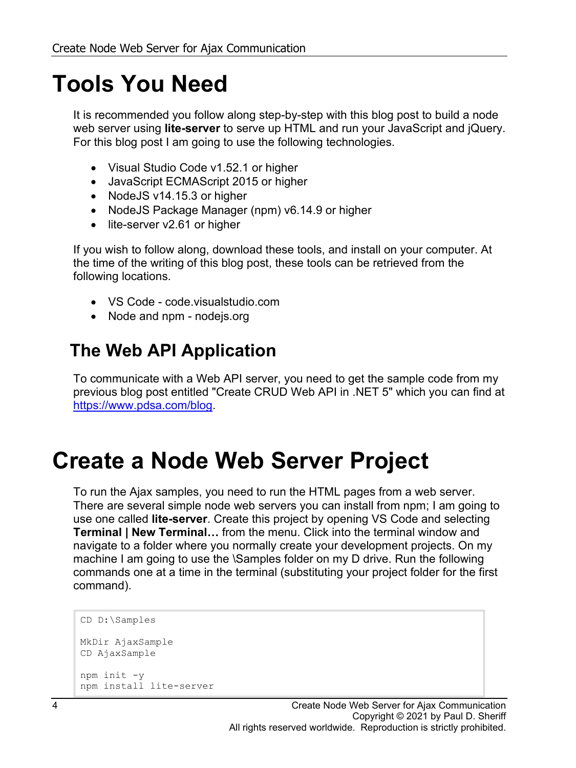## **Tools You Need**

It is recommended you follow along step-by-step with this blog post to build a node web server using **lite-server** to serve up HTML and run your JavaScript and jQuery. For this blog post I am going to use the following technologies.

- Visual Studio Code v1.52.1 or higher
- JavaScript ECMAScript 2015 or higher
- NodeJS v14.15.3 or higher
- NodeJS Package Manager (npm) v6.14.9 or higher
- lite-server v2.61 or higher

If you wish to follow along, download these tools, and install on your computer. At the time of the writing of this blog post, these tools can be retrieved from the following locations.

- VS Code code.visualstudio.com
- Node and npm nodejs.org

#### **The Web API Application**

To communicate with a Web API server, you need to get the sample code from my previous blog post entitled "Create CRUD Web API in .NET 5" which you can find at [https://www.pdsa.com/blog.](https://www.pdsa.com/blog)

## **Create a Node Web Server Project**

To run the Ajax samples, you need to run the HTML pages from a web server. There are several simple node web servers you can install from npm; I am going to use one called **lite-server**. Create this project by opening VS Code and selecting **Terminal | New Terminal…** from the menu. Click into the terminal window and navigate to a folder where you normally create your development projects. On my machine I am going to use the \Samples folder on my D drive. Run the following commands one at a time in the terminal (substituting your project folder for the first command).

```
CD D:\Samples
MkDir AjaxSample
CD AjaxSample
npm init -y
npm install lite-server
```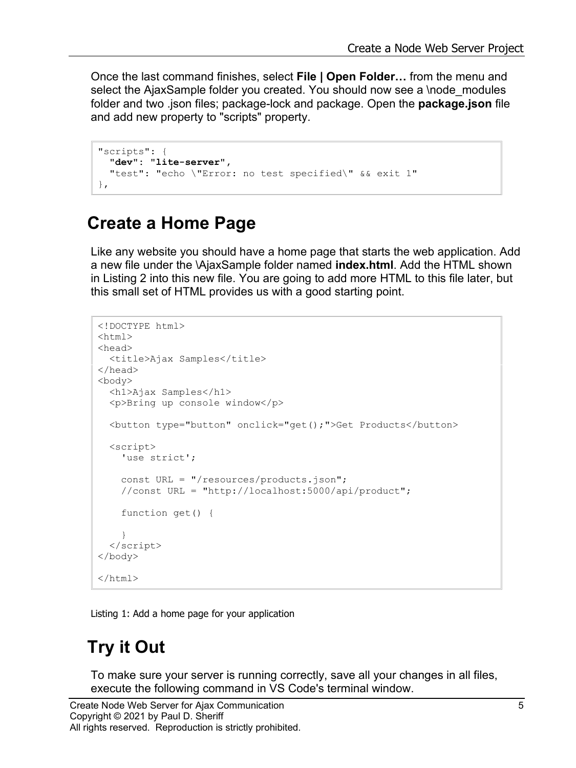Once the last command finishes, select **File | Open Folder…** from the menu and select the AjaxSample folder you created. You should now see a \node modules folder and two .json files; package-lock and package. Open the **package.json** file and add new property to "scripts" property.

```
"scripts": {
  "dev": "lite-server",
   "test": "echo \"Error: no test specified\" && exit 1"
},
```
#### **Create a Home Page**

Like any website you should have a home page that starts the web application. Add a new file under the \AjaxSample folder named **index.html**. Add the HTML shown in [Listing 2](#page-4-0) into this new file. You are going to add more HTML to this file later, but this small set of HTML provides us with a good starting point.

```
<!DOCTYPE html>
<h+ml><head>
   <title>Ajax Samples</title>
</head>
<body>
   <h1>Ajax Samples</h1>
   <p>Bring up console window</p>
   <button type="button" onclick="get();">Get Products</button>
   <script>
    'use strict';
     const URL = "/resources/products.json";
     //const URL = "http://localhost:5000/api/product";
     function get() { 
     }
   </script>
</body>
</html>
```
<span id="page-4-0"></span>Listing 1: Add a home page for your application

#### **Try it Out**

To make sure your server is running correctly, save all your changes in all files, execute the following command in VS Code's terminal window.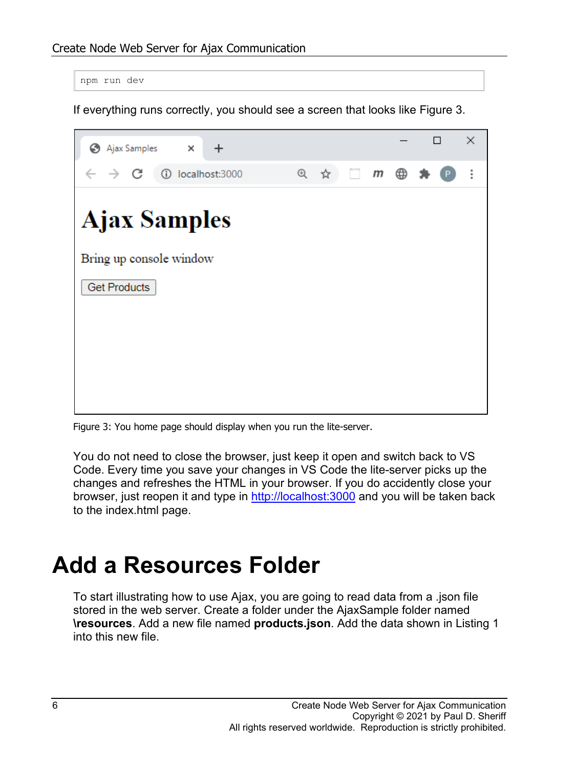```
npm run dev
```
If everything runs correctly, you should see a screen that looks like [Figure 3.](#page-5-0)



Figure 3: You home page should display when you run the lite-server.

<span id="page-5-0"></span>You do not need to close the browser, just keep it open and switch back to VS Code. Every time you save your changes in VS Code the lite-server picks up the changes and refreshes the HTML in your browser. If you do accidently close your browser, just reopen it and type in [http://localhost:3000](http://localhost:3000/) and you will be taken back to the index.html page.

## **Add a Resources Folder**

To start illustrating how to use Ajax, you are going to read data from a .json file stored in the web server. Create a folder under the AjaxSample folder named **\resources**. Add a new file named **products.json**. Add the data shown in [Listing 1](#page-6-0) into this new file.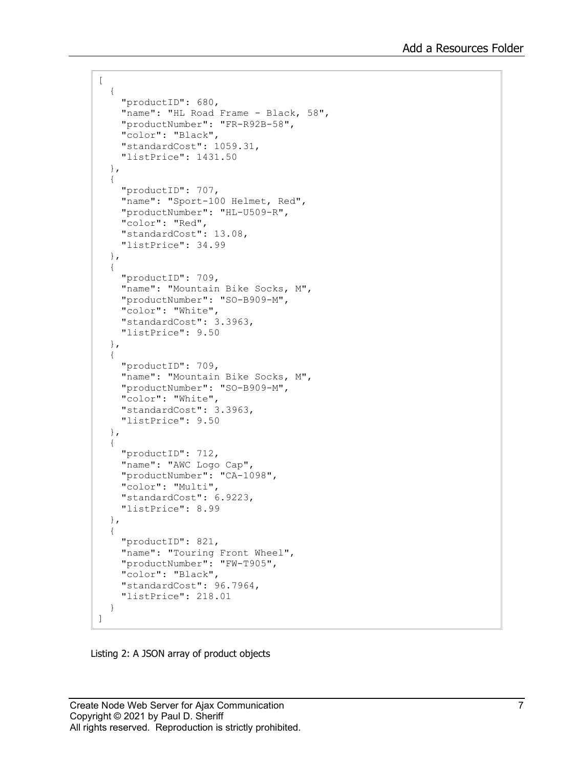```
\lbrack {
     "productID": 680,
     "name": "HL Road Frame - Black, 58",
     "productNumber": "FR-R92B-58",
     "color": "Black",
     "standardCost": 1059.31,
     "listPrice": 1431.50
   },
   {
     "productID": 707,
     "name": "Sport-100 Helmet, Red",
     "productNumber": "HL-U509-R",
     "color": "Red",
     "standardCost": 13.08,
     "listPrice": 34.99
   },
   {
     "productID": 709,
     "name": "Mountain Bike Socks, M",
     "productNumber": "SO-B909-M",
     "color": "White",
     "standardCost": 3.3963,
     "listPrice": 9.50
   },
   {
     "productID": 709,
     "name": "Mountain Bike Socks, M",
     "productNumber": "SO-B909-M",
     "color": "White",
     "standardCost": 3.3963,
     "listPrice": 9.50
   },
   {
     "productID": 712,
    "name": "AWC Logo Cap",
     "productNumber": "CA-1098",
     "color": "Multi",
     "standardCost": 6.9223,
     "listPrice": 8.99
   },
   {
     "productID": 821,
     "name": "Touring Front Wheel",
     "productNumber": "FW-T905",
     "color": "Black",
     "standardCost": 96.7964,
     "listPrice": 218.01
   }
]
```
<span id="page-6-0"></span>Listing 2: A JSON array of product objects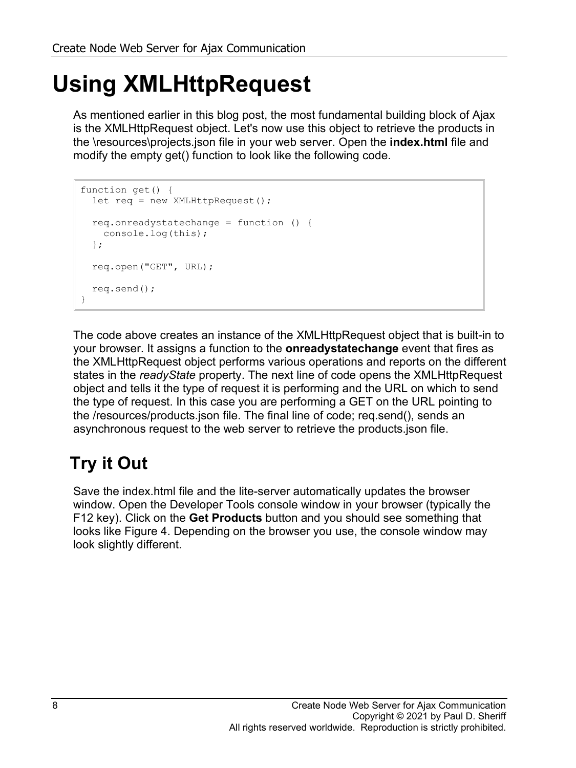# **Using XMLHttpRequest**

As mentioned earlier in this blog post, the most fundamental building block of Ajax is the XMLHttpRequest object. Let's now use this object to retrieve the products in the \resources\projects.json file in your web server. Open the **index.html** file and modify the empty get() function to look like the following code.

```
function get() {
 let req = new XMLHttpRequest();
   req.onreadystatechange = function () {
    console.log(this);
   };
  req.open("GET", URL);
   req.send();
}
```
The code above creates an instance of the XMLHttpRequest object that is built-in to your browser. It assigns a function to the **onreadystatechange** event that fires as the XMLHttpRequest object performs various operations and reports on the different states in the *readyState* property. The next line of code opens the XMLHttpRequest object and tells it the type of request it is performing and the URL on which to send the type of request. In this case you are performing a GET on the URL pointing to the /resources/products.json file. The final line of code; req.send(), sends an asynchronous request to the web server to retrieve the products.json file.

## **Try it Out**

Save the index.html file and the lite-server automatically updates the browser window. Open the Developer Tools console window in your browser (typically the F12 key). Click on the **Get Products** button and you should see something that looks like [Figure 4.](#page-8-0) Depending on the browser you use, the console window may look slightly different.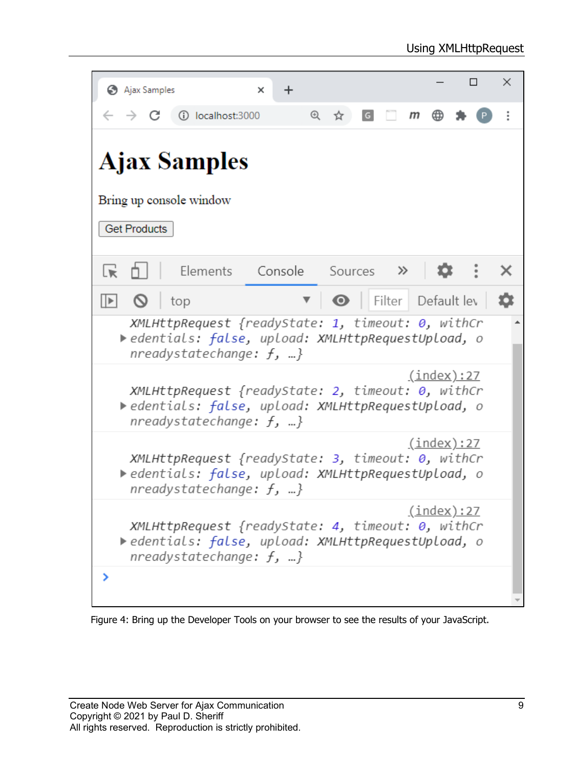| Ajax Samples<br>×<br>$\boldsymbol{+}$                                                                                                                      |                             |   | $\Box$ | $\times$ |  |  |  |  |  |
|------------------------------------------------------------------------------------------------------------------------------------------------------------|-----------------------------|---|--------|----------|--|--|--|--|--|
| $^{\circ}$<br>10 localhost:3000<br>$\overleftrightarrow{\mathbf{r}}$                                                                                       | G<br>m                      | ∰ |        |          |  |  |  |  |  |
| <b>Ajax Samples</b>                                                                                                                                        |                             |   |        |          |  |  |  |  |  |
| Bring up console window                                                                                                                                    |                             |   |        |          |  |  |  |  |  |
| <b>Get Products</b>                                                                                                                                        |                             |   |        |          |  |  |  |  |  |
| Elements Console Sources >><br>Lk                                                                                                                          |                             |   |        |          |  |  |  |  |  |
| $\mathbb{R}$<br>- 0<br>▼∣<br>top                                                                                                                           | <b>O</b> Filter Default lev |   |        |          |  |  |  |  |  |
| XMLHttpRequest {readyState: 1, timeout: 0, withCr<br>▶edentials: false, upload: XMLHttpRequestUpload, o<br>nreadystatechange: $f, $ }                      |                             |   |        |          |  |  |  |  |  |
| <u>(index):27</u><br>XMLHttpRequest {readyState: 2, timeout: 0, withCr<br>▶edentials: false, upload: XMLHttpRequestUpload, o<br>nreadystatechange: $f$ , } |                             |   |        |          |  |  |  |  |  |
| <u>(index):27</u><br>XMLHttpRequest {readyState: 3, timeout: 0, withCr<br>▶edentials: false, upload: XMLHttpRequestUpload, o<br>nreadystatechange: $f, $ } |                             |   |        |          |  |  |  |  |  |
| <u>(index):27</u><br>XMLHttpRequest {readyState: 4, timeout: 0, withCr<br>edentials: false, upload: XMLHttpRequestUpload, o<br>nreadystatechange: $f$ , }  |                             |   |        |          |  |  |  |  |  |
|                                                                                                                                                            |                             |   |        |          |  |  |  |  |  |

<span id="page-8-0"></span>Figure 4: Bring up the Developer Tools on your browser to see the results of your JavaScript.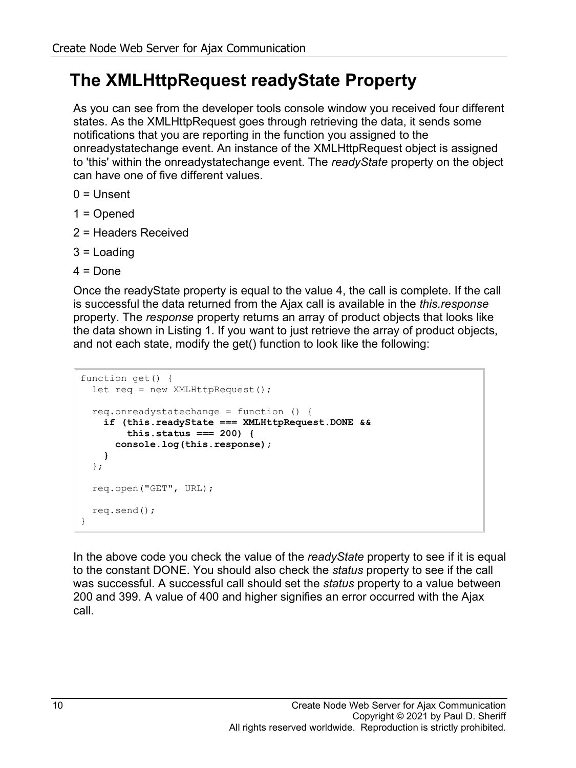#### **The XMLHttpRequest readyState Property**

As you can see from the developer tools console window you received four different states. As the XMLHttpRequest goes through retrieving the data, it sends some notifications that you are reporting in the function you assigned to the onreadystatechange event. An instance of the XMLHttpRequest object is assigned to 'this' within the onreadystatechange event. The *readyState* property on the object can have one of five different values.

- $0 =$  Unsent
- 1 = Opened
- 2 = Headers Received
- 3 = Loading
- $4 =$  Done

Once the readyState property is equal to the value 4, the call is complete. If the call is successful the data returned from the Ajax call is available in the *this.response* property. The *response* property returns an array of product objects that looks like the data shown in [Listing 1.](#page-6-0) If you want to just retrieve the array of product objects, and not each state, modify the get() function to look like the following:

```
function get() {
   let req = new XMLHttpRequest();
   req.onreadystatechange = function () {
    if (this.readyState === XMLHttpRequest.DONE &&
         this.status === 200) {
       console.log(this.response);
     }
   };
   req.open("GET", URL);
   req.send();
}
```
In the above code you check the value of the *readyState* property to see if it is equal to the constant DONE. You should also check the *status* property to see if the call was successful. A successful call should set the *status* property to a value between 200 and 399. A value of 400 and higher signifies an error occurred with the Ajax call.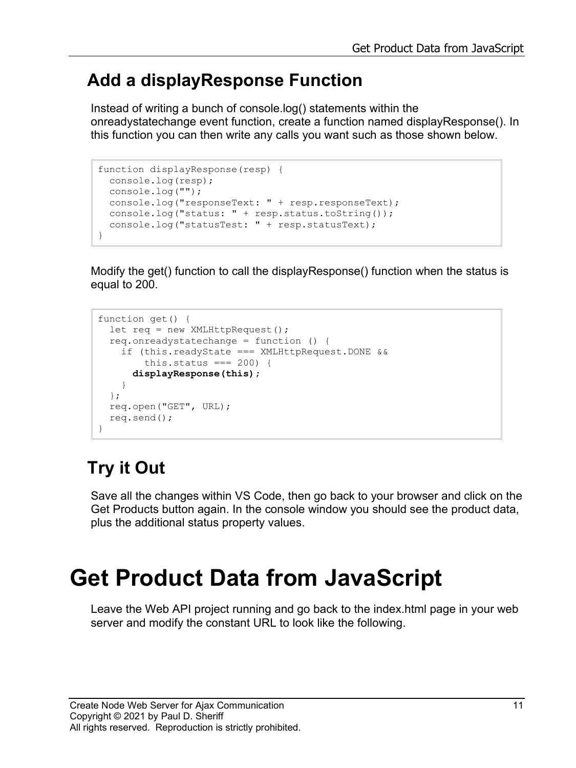#### **Add a displayResponse Function**

Instead of writing a bunch of console.log() statements within the onreadystatechange event function, create a function named displayResponse(). In this function you can then write any calls you want such as those shown below.

```
function displayResponse(resp) {
  console.log(resp);
  console.log("");
  console.log("responseText: " + resp.responseText);
 console.log("status: " + resp.status.toString());
   console.log("statusTest: " + resp.statusText);
}
```
Modify the get() function to call the displayResponse() function when the status is equal to 200.

```
function get() {
 let req = new XMLHttpRequest();
  req.onreadystatechange = function () {
     if (this.readyState === XMLHttpRequest.DONE &&
        this.status == 200 {
       displayResponse(this);
     }
  };
  req.open("GET", URL);
  req.send();
}
```
## **Try it Out**

Save all the changes within VS Code, then go back to your browser and click on the Get Products button again. In the console window you should see the product data, plus the additional status property values.

# **Get Product Data from JavaScript**

Leave the Web API project running and go back to the index.html page in your web server and modify the constant URL to look like the following.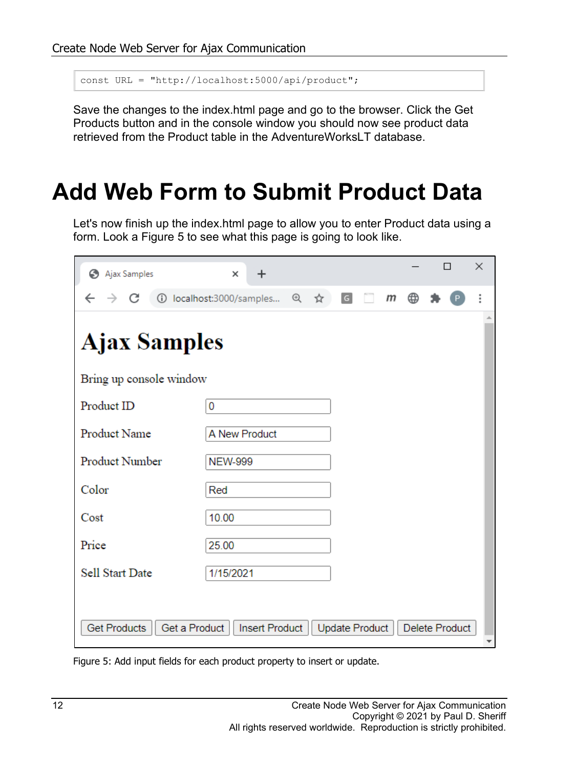```
const URL = "http://localhost:5000/api/product";
```
Save the changes to the index.html page and go to the browser. Click the Get Products button and in the console window you should now see product data retrieved from the Product table in the AdventureWorksLT database.

## **Add Web Form to Submit Product Data**

Let's now finish up the index.html page to allow you to enter Product data using a form. Look a [Figure 5](#page-11-0) to see what this page is going to look like.

| Ajax Samples                         | $\times$<br>$\boldsymbol{+}$ |     |                |  |   |   |                       | ×                        |  |  |  |
|--------------------------------------|------------------------------|-----|----------------|--|---|---|-----------------------|--------------------------|--|--|--|
| C<br>$\rightarrow$                   | 1 localhost:3000/samples     | 日 ☆ | G              |  | m | ⊕ |                       |                          |  |  |  |
| <b>Ajax Samples</b>                  |                              |     |                |  |   |   |                       |                          |  |  |  |
| Bring up console window              |                              |     |                |  |   |   |                       |                          |  |  |  |
| Product ID                           | 0                            |     |                |  |   |   |                       |                          |  |  |  |
| <b>Product Name</b>                  | A New Product                |     |                |  |   |   |                       |                          |  |  |  |
| Product Number                       | <b>NEW-999</b>               |     |                |  |   |   |                       |                          |  |  |  |
| Color                                | Red                          |     |                |  |   |   |                       |                          |  |  |  |
| Cost                                 | 10.00                        |     |                |  |   |   |                       |                          |  |  |  |
| Price                                | 25.00                        |     |                |  |   |   |                       |                          |  |  |  |
| Sell Start Date                      | 1/15/2021                    |     |                |  |   |   |                       |                          |  |  |  |
|                                      |                              |     |                |  |   |   |                       |                          |  |  |  |
| <b>Get Products</b><br>Get a Product | <b>Insert Product</b>        |     | Update Product |  |   |   | <b>Delete Product</b> | $\overline{\phantom{a}}$ |  |  |  |

<span id="page-11-0"></span>Figure 5: Add input fields for each product property to insert or update.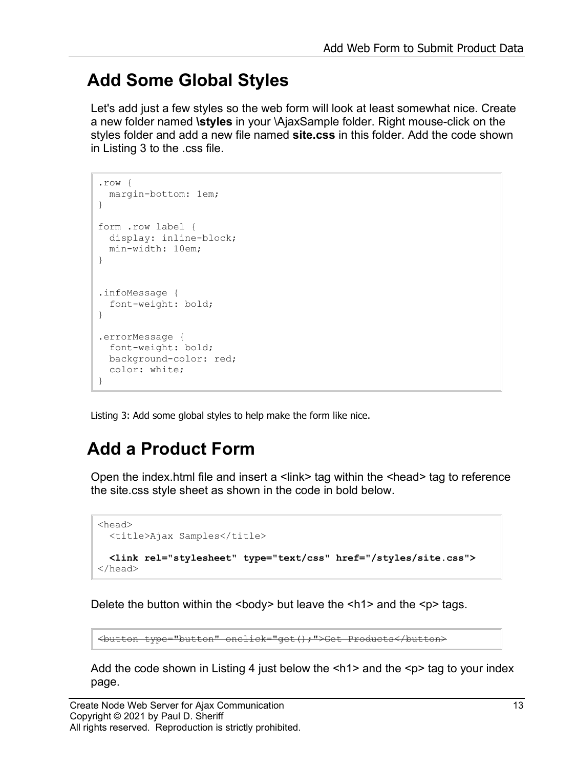#### **Add Some Global Styles**

Let's add just a few styles so the web form will look at least somewhat nice. Create a new folder named **\styles** in your \AjaxSample folder. Right mouse-click on the styles folder and add a new file named **site.css** in this folder. Add the code shown in [Listing 3](#page-12-0) to the .css file.

```
.row {
  margin-bottom: 1em;
}
form .row label {
  display: inline-block;
  min-width: 10em;
}
.infoMessage {
   font-weight: bold;
}
.errorMessage {
  font-weight: bold;
  background-color: red;
   color: white;
}
```
<span id="page-12-0"></span>Listing 3: Add some global styles to help make the form like nice.

### **Add a Product Form**

Open the index.html file and insert a  $\leq$ link $\geq$  tag within the  $\leq$ head $\geq$  tag to reference the site.css style sheet as shown in the code in bold below.

```
<head>
  <title>Ajax Samples</title>
  <link rel="stylesheet" type="text/css" href="/styles/site.css">
</head>
```
Delete the button within the  $\langle \text{body} \rangle$  but leave the  $\langle \text{h1} \rangle$  and the  $\langle \text{p} \rangle$  tags.

<button type="button" onclick="get();">Get Products</button>

Add the code shown in [Listing 4](#page-14-0) just below the  $\leq h1$  and the  $\leq p$  tag to your index page.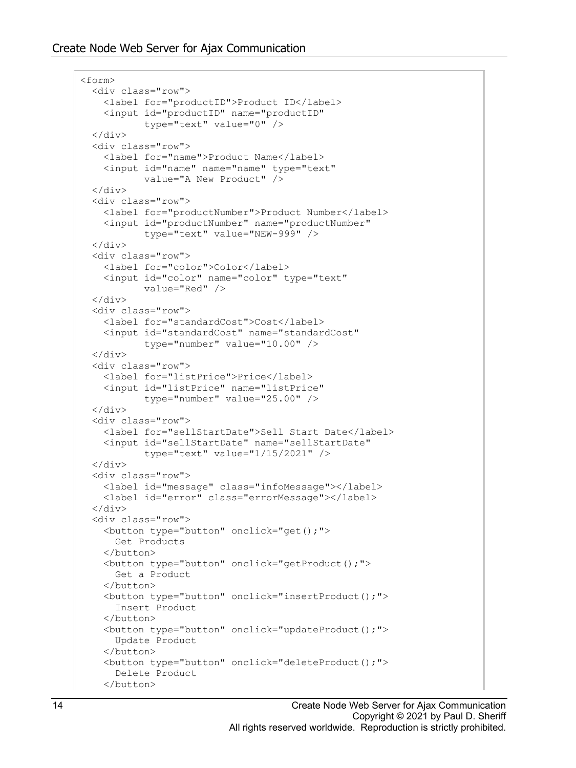```
<form>
  <div class="row">
     <label for="productID">Product ID</label>
     <input id="productID" name="productID"
            type="text" value="0" />
  \langle div\rangle <div class="row">
     <label for="name">Product Name</label>
     <input id="name" name="name" type="text" 
            value="A New Product" />
   </div>
   <div class="row">
     <label for="productNumber">Product Number</label>
     <input id="productNumber" name="productNumber"
            type="text" value="NEW-999" />
  \langle div>
   <div class="row">
     <label for="color">Color</label>
     <input id="color" name="color" type="text"
            value="Red" />
  \langle div\rangle <div class="row">
     <label for="standardCost">Cost</label>
     <input id="standardCost" name="standardCost"
            type="number" value="10.00" />
 \langle div>
   <div class="row">
     <label for="listPrice">Price</label>
     <input id="listPrice" name="listPrice"
            type="number" value="25.00" />
   </div>
  <div class="row">
     <label for="sellStartDate">Sell Start Date</label>
     <input id="sellStartDate" name="sellStartDate"
            type="text" value="1/15/2021" />
  \langle/div\rangle <div class="row">
     <label id="message" class="infoMessage"></label>
     <label id="error" class="errorMessage"></label>
   </div>
   <div class="row">
     <button type="button" onclick="get();">
       Get Products
     </button>
     <button type="button" onclick="getProduct();">
       Get a Product
     </button>
     <button type="button" onclick="insertProduct();">
       Insert Product
    \langle/button>
     <button type="button" onclick="updateProduct();">
       Update Product
     </button>
     <button type="button" onclick="deleteProduct();">
       Delete Product
     </button>
```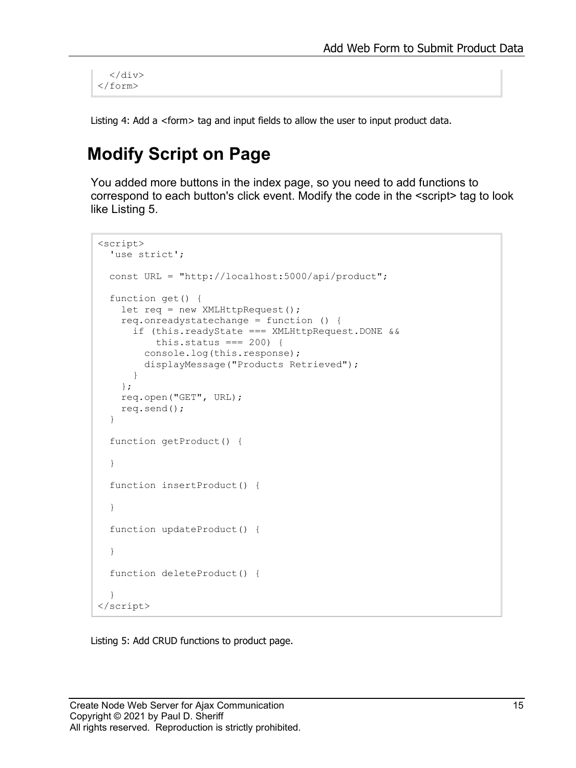$\langle$ /div $\rangle$ </form>

<span id="page-14-0"></span>Listing 4: Add a <form> tag and input fields to allow the user to input product data.

#### **Modify Script on Page**

You added more buttons in the index page, so you need to add functions to correspond to each button's click event. Modify the code in the <script> tag to look like [Listing 5.](#page-14-1)

```
<script>
  'use strict';
  const URL = "http://localhost:5000/api/product";
  function get() { 
    let req = new XMLHttpRequest();
     req.onreadystatechange = function () {
       if (this.readyState === XMLHttpRequest.DONE &&
          this.status == 200 {
         console.log(this.response);
         displayMessage("Products Retrieved");
       }
     };
     req.open("GET", URL);
     req.send();
   }
   function getProduct() { 
   }
   function insertProduct() { 
   }
   function updateProduct() { 
   }
   function deleteProduct() { 
 }
</script>
```
<span id="page-14-1"></span>Listing 5: Add CRUD functions to product page.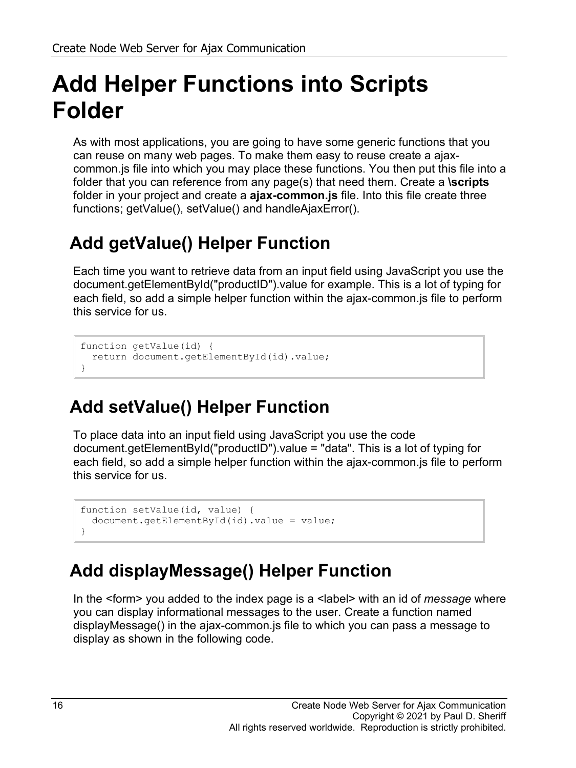## **Add Helper Functions into Scripts Folder**

As with most applications, you are going to have some generic functions that you can reuse on many web pages. To make them easy to reuse create a ajaxcommon.js file into which you may place these functions. You then put this file into a folder that you can reference from any page(s) that need them. Create a **\scripts** folder in your project and create a **ajax-common.js** file. Into this file create three functions; getValue(), setValue() and handleAjaxError().

## **Add getValue() Helper Function**

Each time you want to retrieve data from an input field using JavaScript you use the document.getElementById("productID").value for example. This is a lot of typing for each field, so add a simple helper function within the ajax-common.js file to perform this service for us.

```
function getValue(id) {
  return document.getElementById(id).value;
}
```
## **Add setValue() Helper Function**

To place data into an input field using JavaScript you use the code document.getElementById("productID").value = "data". This is a lot of typing for each field, so add a simple helper function within the ajax-common.js file to perform this service for us.

```
function setValue(id, value) {
  document.getElementById(id).value = value;
}
```
#### <span id="page-15-0"></span>**Add displayMessage() Helper Function**

In the <form> you added to the index page is a <label> with an id of *message* where you can display informational messages to the user. Create a function named displayMessage() in the ajax-common.js file to which you can pass a message to display as shown in the following code.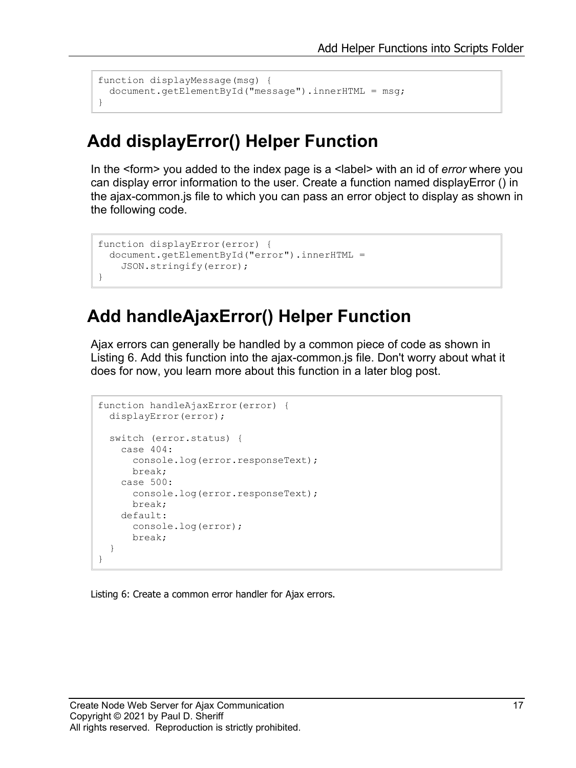```
function displayMessage(msg) {
  document.getElementById("message").innerHTML = msg;
}
```
#### **Add displayError() Helper Function**

In the <form> you added to the index page is a <label> with an id of *error* where you can display error information to the user. Create a function named displayError () in the ajax-common.js file to which you can pass an error object to display as shown in the following code.

```
function displayError(error) {
  document.getElementById("error").innerHTML =
    JSON.stringify(error);
}
```
#### **Add handleAjaxError() Helper Function**

Ajax errors can generally be handled by a common piece of code as shown in [Listing 6.](#page-15-0) Add this function into the ajax-common.js file. Don't worry about what it does for now, you learn more about this function in a later blog post.

```
function handleAjaxError(error) {
  displayError(error);
  switch (error.status) {
    case 404:
      console.log(error.responseText);
      break;
     case 500:
      console.log(error.responseText);
      break;
     default:
      console.log(error);
      break;
   }
}
```
Listing 6: Create a common error handler for Ajax errors.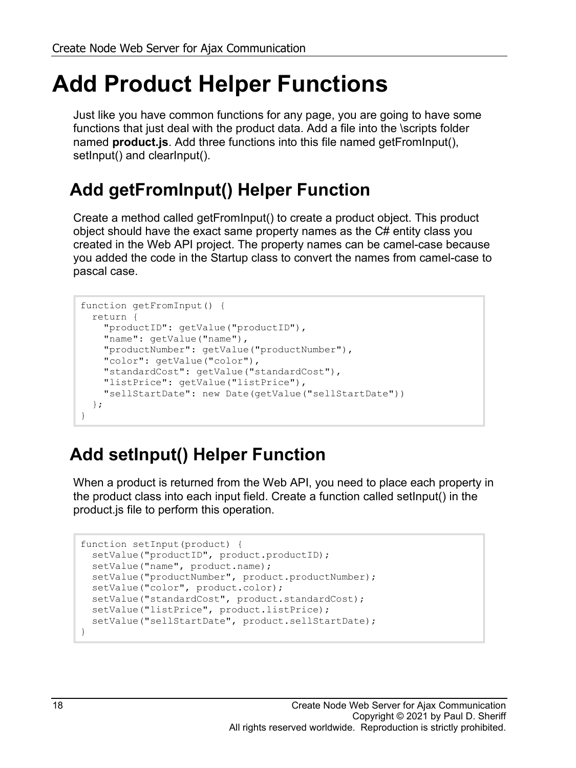## **Add Product Helper Functions**

Just like you have common functions for any page, you are going to have some functions that just deal with the product data. Add a file into the \scripts folder named **product.js**. Add three functions into this file named getFromInput(), setInput() and clearInput().

### **Add getFromInput() Helper Function**

Create a method called getFromInput() to create a product object. This product object should have the exact same property names as the C# entity class you created in the Web API project. The property names can be camel-case because you added the code in the Startup class to convert the names from camel-case to pascal case.

```
function getFromInput() {
  return {
    "productID": getValue("productID"),
    "name": getValue("name"),
    "productNumber": getValue("productNumber"),
     "color": getValue("color"),
     "standardCost": getValue("standardCost"),
     "listPrice": getValue("listPrice"),
     "sellStartDate": new Date(getValue("sellStartDate"))
  };
}
```
## **Add setInput() Helper Function**

When a product is returned from the Web API, you need to place each property in the product class into each input field. Create a function called setInput() in the product.js file to perform this operation.

```
function setInput(product) {
 setValue("productID", product.productID);
 setValue("name", product.name);
 setValue("productNumber", product.productNumber);
  setValue("color", product.color);
 setValue("standardCost", product.standardCost);
 setValue("listPrice", product.listPrice);
 setValue("sellStartDate", product.sellStartDate);
}
```